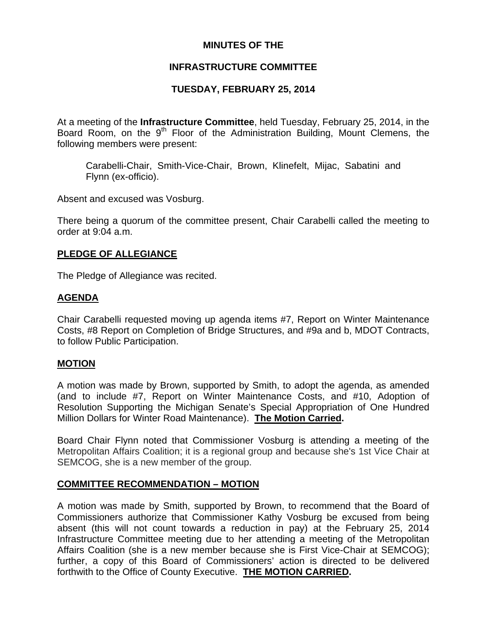# **MINUTES OF THE**

# **INFRASTRUCTURE COMMITTEE**

# **TUESDAY, FEBRUARY 25, 2014**

At a meeting of the **Infrastructure Committee**, held Tuesday, February 25, 2014, in the Board Room, on the  $9<sup>th</sup>$  Floor of the Administration Building, Mount Clemens, the following members were present:

Carabelli-Chair, Smith-Vice-Chair, Brown, Klinefelt, Mijac, Sabatini and Flynn (ex-officio).

Absent and excused was Vosburg.

There being a quorum of the committee present, Chair Carabelli called the meeting to order at 9:04 a.m.

# **PLEDGE OF ALLEGIANCE**

The Pledge of Allegiance was recited.

# **AGENDA**

Chair Carabelli requested moving up agenda items #7, Report on Winter Maintenance Costs, #8 Report on Completion of Bridge Structures, and #9a and b, MDOT Contracts, to follow Public Participation.

## **MOTION**

A motion was made by Brown, supported by Smith, to adopt the agenda, as amended (and to include #7, Report on Winter Maintenance Costs, and #10, Adoption of Resolution Supporting the Michigan Senate's Special Appropriation of One Hundred Million Dollars for Winter Road Maintenance). **The Motion Carried.** 

Board Chair Flynn noted that Commissioner Vosburg is attending a meeting of the Metropolitan Affairs Coalition; it is a regional group and because she's 1st Vice Chair at SEMCOG, she is a new member of the group.

## **COMMITTEE RECOMMENDATION – MOTION**

A motion was made by Smith, supported by Brown, to recommend that the Board of Commissioners authorize that Commissioner Kathy Vosburg be excused from being absent (this will not count towards a reduction in pay) at the February 25, 2014 Infrastructure Committee meeting due to her attending a meeting of the Metropolitan Affairs Coalition (she is a new member because she is First Vice-Chair at SEMCOG); further, a copy of this Board of Commissioners' action is directed to be delivered forthwith to the Office of County Executive. **THE MOTION CARRIED.**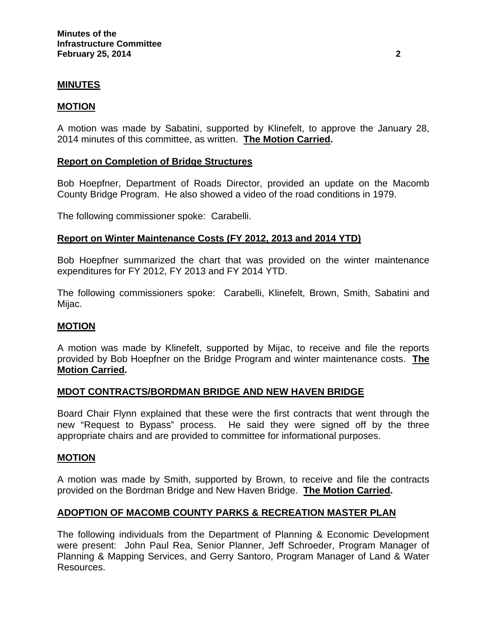## **MINUTES**

## **MOTION**

A motion was made by Sabatini, supported by Klinefelt, to approve the January 28, 2014 minutes of this committee, as written. **The Motion Carried.** 

## **Report on Completion of Bridge Structures**

Bob Hoepfner, Department of Roads Director, provided an update on the Macomb County Bridge Program. He also showed a video of the road conditions in 1979.

The following commissioner spoke: Carabelli.

#### **Report on Winter Maintenance Costs (FY 2012, 2013 and 2014 YTD)**

Bob Hoepfner summarized the chart that was provided on the winter maintenance expenditures for FY 2012, FY 2013 and FY 2014 YTD.

The following commissioners spoke: Carabelli, Klinefelt, Brown, Smith, Sabatini and Mijac.

#### **MOTION**

A motion was made by Klinefelt, supported by Mijac, to receive and file the reports provided by Bob Hoepfner on the Bridge Program and winter maintenance costs. **The Motion Carried.** 

## **MDOT CONTRACTS/BORDMAN BRIDGE AND NEW HAVEN BRIDGE**

Board Chair Flynn explained that these were the first contracts that went through the new "Request to Bypass" process. He said they were signed off by the three appropriate chairs and are provided to committee for informational purposes.

#### **MOTION**

A motion was made by Smith, supported by Brown, to receive and file the contracts provided on the Bordman Bridge and New Haven Bridge. **The Motion Carried.** 

## **ADOPTION OF MACOMB COUNTY PARKS & RECREATION MASTER PLAN**

The following individuals from the Department of Planning & Economic Development were present: John Paul Rea, Senior Planner, Jeff Schroeder, Program Manager of Planning & Mapping Services, and Gerry Santoro, Program Manager of Land & Water Resources.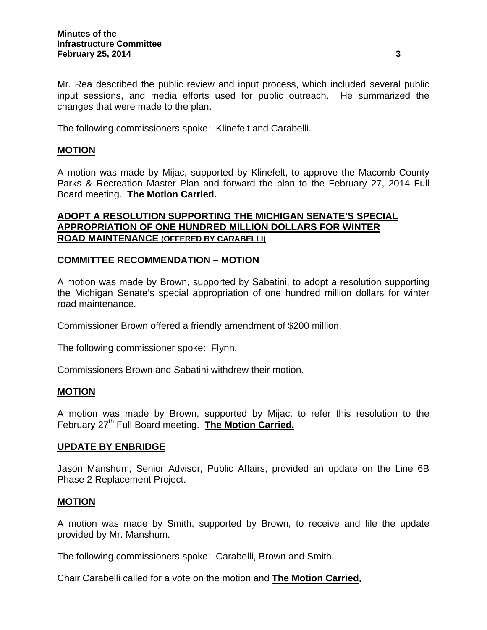Mr. Rea described the public review and input process, which included several public input sessions, and media efforts used for public outreach. He summarized the changes that were made to the plan.

The following commissioners spoke: Klinefelt and Carabelli.

# **MOTION**

A motion was made by Mijac, supported by Klinefelt, to approve the Macomb County Parks & Recreation Master Plan and forward the plan to the February 27, 2014 Full Board meeting. **The Motion Carried.** 

# **ADOPT A RESOLUTION SUPPORTING THE MICHIGAN SENATE'S SPECIAL APPROPRIATION OF ONE HUNDRED MILLION DOLLARS FOR WINTER ROAD MAINTENANCE (OFFERED BY CARABELLI)**

# **COMMITTEE RECOMMENDATION – MOTION**

A motion was made by Brown, supported by Sabatini, to adopt a resolution supporting the Michigan Senate's special appropriation of one hundred million dollars for winter road maintenance.

Commissioner Brown offered a friendly amendment of \$200 million.

The following commissioner spoke: Flynn.

Commissioners Brown and Sabatini withdrew their motion.

## **MOTION**

A motion was made by Brown, supported by Mijac, to refer this resolution to the February 27<sup>th</sup> Full Board meeting. **The Motion Carried.** 

## **UPDATE BY ENBRIDGE**

Jason Manshum, Senior Advisor, Public Affairs, provided an update on the Line 6B Phase 2 Replacement Project.

## **MOTION**

A motion was made by Smith, supported by Brown, to receive and file the update provided by Mr. Manshum.

The following commissioners spoke: Carabelli, Brown and Smith.

Chair Carabelli called for a vote on the motion and **The Motion Carried.**